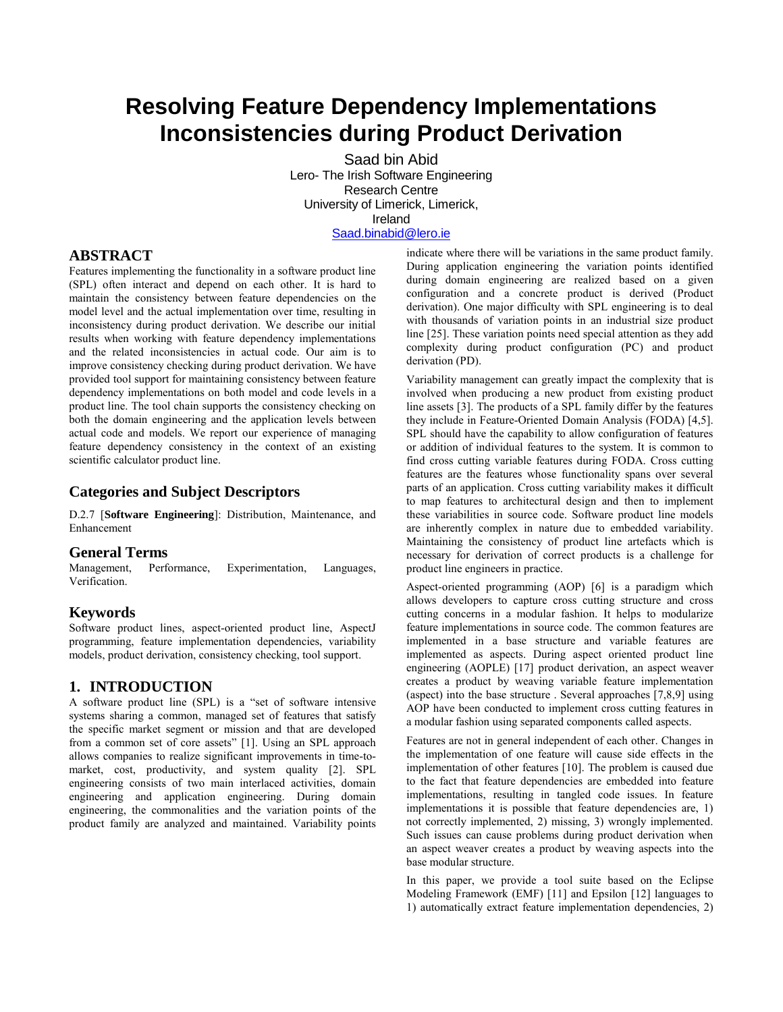# **Resolving Feature Dependency Implementations Inconsistencies during Product Derivation**

Saad bin Abid Lero- The Irish Software Engineering Research Centre University of Limerick, Limerick, Ireland [Saad.binabid@lero.ie](mailto:Saad.binabid@lero.ie)

## **ABSTRACT**

Features implementing the functionality in a software product line (SPL) often interact and depend on each other. It is hard to maintain the consistency between feature dependencies on the model level and the actual implementation over time, resulting in inconsistency during product derivation. We describe our initial results when working with feature dependency implementations and the related inconsistencies in actual code. Our aim is to improve consistency checking during product derivation. We have provided tool support for maintaining consistency between feature dependency implementations on both model and code levels in a product line. The tool chain supports the consistency checking on both the domain engineering and the application levels between actual code and models. We report our experience of managing feature dependency consistency in the context of an existing scientific calculator product line.

#### **Categories and Subject Descriptors**

D.2.7 [**Software Engineering**]: Distribution, Maintenance, and Enhancement

#### **General Terms**

Management, Performance, Experimentation, Languages, Verification.

#### **Keywords**

Software product lines, aspect-oriented product line, AspectJ programming, feature implementation dependencies, variability models, product derivation, consistency checking, tool support.

#### **1. INTRODUCTION**

A software product line (SPL) is a "set of software intensive systems sharing a common, managed set of features that satisfy the specific market segment or mission and that are developed from a common set of core assets" [1]. Using an SPL approach allows companies to realize significant improvements in time-tomarket, cost, productivity, and system quality [2]. SPL engineering consists of two main interlaced activities, domain engineering and application engineering. During domain engineering, the commonalities and the variation points of the product family are analyzed and maintained. Variability points indicate where there will be variations in the same product family. During application engineering the variation points identified during domain engineering are realized based on a given configuration and a concrete product is derived (Product derivation). One major difficulty with SPL engineering is to deal with thousands of variation points in an industrial size product line [25]. These variation points need special attention as they add complexity during product configuration (PC) and product derivation (PD).

Variability management can greatly impact the complexity that is involved when producing a new product from existing product line assets [3]. The products of a SPL family differ by the features they include in Feature-Oriented Domain Analysis (FODA) [4,5]. SPL should have the capability to allow configuration of features or addition of individual features to the system. It is common to find cross cutting variable features during FODA. Cross cutting features are the features whose functionality spans over several parts of an application. Cross cutting variability makes it difficult to map features to architectural design and then to implement these variabilities in source code. Software product line models are inherently complex in nature due to embedded variability. Maintaining the consistency of product line artefacts which is necessary for derivation of correct products is a challenge for product line engineers in practice.

Aspect-oriented programming (AOP) [6] is a paradigm which allows developers to capture cross cutting structure and cross cutting concerns in a modular fashion. It helps to modularize feature implementations in source code. The common features are implemented in a base structure and variable features are implemented as aspects. During aspect oriented product line engineering (AOPLE) [17] product derivation, an aspect weaver creates a product by weaving variable feature implementation (aspect) into the base structure . Several approaches [7,8,9] using AOP have been conducted to implement cross cutting features in a modular fashion using separated components called aspects.

Features are not in general independent of each other. Changes in the implementation of one feature will cause side effects in the implementation of other features [10]. The problem is caused due to the fact that feature dependencies are embedded into feature implementations, resulting in tangled code issues. In feature implementations it is possible that feature dependencies are, 1) not correctly implemented, 2) missing, 3) wrongly implemented. Such issues can cause problems during product derivation when an aspect weaver creates a product by weaving aspects into the base modular structure.

In this paper, we provide a tool suite based on the Eclipse Modeling Framework (EMF) [11] and Epsilon [12] languages to 1) automatically extract feature implementation dependencies, 2)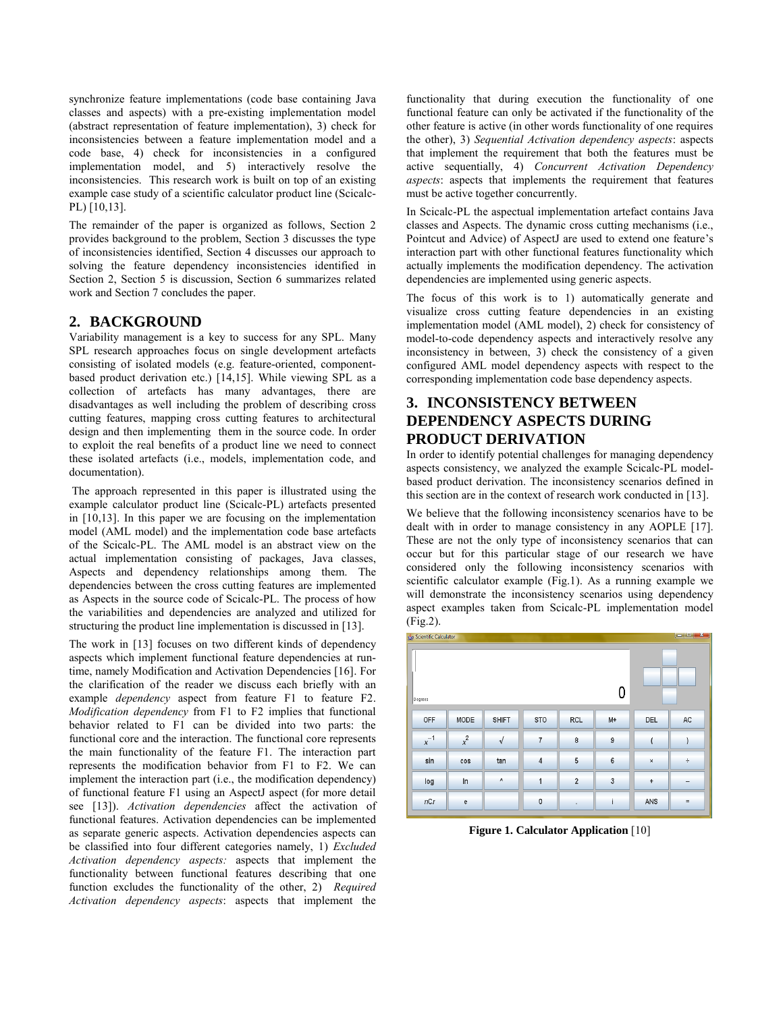synchronize feature implementations (code base containing Java classes and aspects) with a pre-existing implementation model (abstract representation of feature implementation), 3) check for inconsistencies between a feature implementation model and a code base, 4) check for inconsistencies in a configured implementation model, and 5) interactively resolve the inconsistencies. This research work is built on top of an existing example case study of a scientific calculator product line (Scicalc-PL) [10,13].

The remainder of the paper is organized as follows, Section 2 provides background to the problem, Section 3 discusses the type of inconsistencies identified, Section 4 discusses our approach to solving the feature dependency inconsistencies identified in Section 2, Section 5 is discussion, Section 6 summarizes related work and Section 7 concludes the paper.

#### **2. BACKGROUND**

Variability management is a key to success for any SPL. Many SPL research approaches focus on single development artefacts consisting of isolated models (e.g. feature-oriented, componentbased product derivation etc.) [14,15]. While viewing SPL as a collection of artefacts has many advantages, there are disadvantages as well including the problem of describing cross cutting features, mapping cross cutting features to architectural design and then implementing them in the source code. In order to exploit the real benefits of a product line we need to connect these isolated artefacts (i.e., models, implementation code, and documentation).

 The approach represented in this paper is illustrated using the example calculator product line (Scicalc-PL) artefacts presented in [10,13]. In this paper we are focusing on the implementation model (AML model) and the implementation code base artefacts of the Scicalc-PL. The AML model is an abstract view on the actual implementation consisting of packages, Java classes, Aspects and dependency relationships among them. The dependencies between the cross cutting features are implemented as Aspects in the source code of Scicalc-PL. The process of how the variabilities and dependencies are analyzed and utilized for structuring the product line implementation is discussed in [13].

The work in [13] focuses on two different kinds of dependency aspects which implement functional feature dependencies at runtime, namely Modification and Activation Dependencies [16]. For the clarification of the reader we discuss each briefly with an example *dependency* aspect from feature F1 to feature F2. *Modification dependency* from F1 to F2 implies that functional behavior related to F1 can be divided into two parts: the functional core and the interaction. The functional core represents the main functionality of the feature F1. The interaction part represents the modification behavior from F1 to F2. We can implement the interaction part (i.e., the modification dependency) of functional feature F1 using an AspectJ aspect (for more detail see [13]). *Activation dependencies* affect the activation of functional features. Activation dependencies can be implemented as separate generic aspects. Activation dependencies aspects can be classified into four different categories namely, 1) *Excluded Activation dependency aspects:* aspects that implement the functionality between functional features describing that one function excludes the functionality of the other, 2) *Required Activation dependency aspects*: aspects that implement the

functionality that during execution the functionality of one functional feature can only be activated if the functionality of the other feature is active (in other words functionality of one requires the other), 3) *Sequential Activation dependency aspects*: aspects that implement the requirement that both the features must be active sequentially, 4) *Concurrent Activation Dependency aspects*: aspects that implements the requirement that features must be active together concurrently.

In Scicalc-PL the aspectual implementation artefact contains Java classes and Aspects. The dynamic cross cutting mechanisms (i.e., Pointcut and Advice) of AspectJ are used to extend one feature's interaction part with other functional features functionality which actually implements the modification dependency. The activation dependencies are implemented using generic aspects.

The focus of this work is to 1) automatically generate and visualize cross cutting feature dependencies in an existing implementation model (AML model), 2) check for consistency of model-to-code dependency aspects and interactively resolve any inconsistency in between, 3) check the consistency of a given configured AML model dependency aspects with respect to the corresponding implementation code base dependency aspects.

# **3. INCONSISTENCY BETWEEN DEPENDENCY ASPECTS DURING PRODUCT DERIVATION**

In order to identify potential challenges for managing dependency aspects consistency, we analyzed the example Scicalc-PL modelbased product derivation. The inconsistency scenarios defined in this section are in the context of research work conducted in [13].

We believe that the following inconsistency scenarios have to be dealt with in order to manage consistency in any AOPLE [17]. These are not the only type of inconsistency scenarios that can occur but for this particular stage of our research we have considered only the following inconsistency scenarios with scientific calculator example (Fig.1). As a running example we will demonstrate the inconsistency scenarios using dependency aspect examples taken from Scicalc-PL implementation model  $(Fig.2)$ .

| $\  \mathbf{v} \  = \ \mathbf{v}\ $<br>Scientific Calculator |                                   |              |                |                         |                |                           |     |  |
|--------------------------------------------------------------|-----------------------------------|--------------|----------------|-------------------------|----------------|---------------------------|-----|--|
|                                                              |                                   |              |                |                         |                |                           |     |  |
|                                                              |                                   |              |                |                         |                |                           |     |  |
|                                                              |                                   |              |                |                         | O              |                           |     |  |
| Degrees                                                      |                                   |              |                |                         |                |                           |     |  |
|                                                              |                                   |              |                |                         |                |                           |     |  |
| OFF                                                          | MODE                              | <b>SHIFT</b> | <b>STO</b>     | <b>RCL</b>              | $M+$           | <b>DEL</b>                | AC  |  |
| $x^{-1}$                                                     | $x^2$                             | $\sqrt{ }$   | 7              | 8                       | 9              | ţ                         |     |  |
|                                                              |                                   |              |                |                         |                |                           |     |  |
| sin                                                          | cos                               | tan          | $\overline{4}$ | 5                       | $6\phantom{1}$ | $\boldsymbol{\mathsf{x}}$ | ÷   |  |
| log                                                          | In                                | ٨            | 1              | $\overline{\mathbf{2}}$ | 3              | $\ddot{}$                 | -   |  |
|                                                              |                                   |              |                |                         |                |                           |     |  |
| nCr                                                          | $\mathsf{e}% _{t}\left( t\right)$ |              | $\mathbf{0}$   | ٠                       |                | ANS                       | $=$ |  |
|                                                              |                                   |              |                |                         |                |                           |     |  |

**Figure 1. Calculator Application** [10]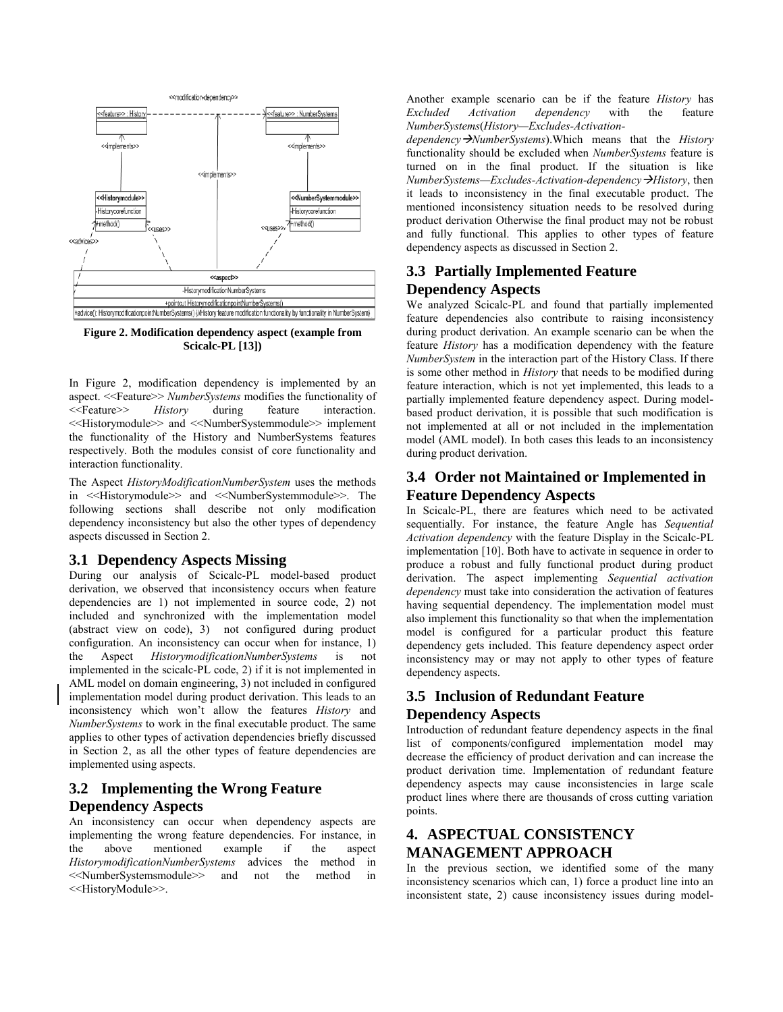

**Figure 2. Modification dependency aspect (example from Scicalc-PL [13])** 

In Figure 2, modification dependency is implemented by an aspect. <<Feature>> *NumberSystems* modifies the functionality of <<Feature>> *History* during feature interaction. <<Historymodule>> and <<NumberSystemmodule>> implement the functionality of the History and NumberSystems features respectively. Both the modules consist of core functionality and interaction functionality.

The Aspect *HistoryModificationNumberSystem* uses the methods in <<Historymodule>> and <<NumberSystemmodule>>. The following sections shall describe not only modification dependency inconsistency but also the other types of dependency aspects discussed in Section 2.

#### **3.1 Dependency Aspects Missing**

During our analysis of Scicalc-PL model-based product derivation, we observed that inconsistency occurs when feature dependencies are 1) not implemented in source code, 2) not included and synchronized with the implementation model (abstract view on code), 3) not configured during product configuration. An inconsistency can occur when for instance, 1) the Aspect *HistorymodificationNumberSystems* is not implemented in the scicalc-PL code, 2) if it is not implemented in AML model on domain engineering, 3) not included in configured implementation model during product derivation. This leads to an inconsistency which won't allow the features *History* and *NumberSystems* to work in the final executable product. The same applies to other types of activation dependencies briefly discussed in Section 2, as all the other types of feature dependencies are implemented using aspects.

# **3.2 Implementing the Wrong Feature Dependency Aspects**

An inconsistency can occur when dependency aspects are implementing the wrong feature dependencies. For instance, in the above mentioned example if the aspect *HistorymodificationNumberSystems* advices the method in <<NumberSystemsmodule>> and not the method in <<HistoryModule>>.

Another example scenario can be if the feature *History* has dependency *NumberSystems*(*History—Excludes-Activation-*

*dependency*  $\rightarrow$ *NumberSystems*). Which means that the *History* functionality should be excluded when *NumberSystems* feature is turned on in the final product. If the situation is like *NumberSystems—Excludes-Activation-dependencyHistory*, then it leads to inconsistency in the final executable product. The mentioned inconsistency situation needs to be resolved during product derivation Otherwise the final product may not be robust and fully functional. This applies to other types of feature dependency aspects as discussed in Section 2.

# **3.3 Partially Implemented Feature Dependency Aspects**

We analyzed Scicalc-PL and found that partially implemented feature dependencies also contribute to raising inconsistency during product derivation. An example scenario can be when the feature *History* has a modification dependency with the feature *NumberSystem* in the interaction part of the History Class. If there is some other method in *History* that needs to be modified during feature interaction, which is not yet implemented, this leads to a partially implemented feature dependency aspect. During modelbased product derivation, it is possible that such modification is not implemented at all or not included in the implementation model (AML model). In both cases this leads to an inconsistency during product derivation.

# **3.4 Order not Maintained or Implemented in Feature Dependency Aspects**

In Scicalc-PL, there are features which need to be activated sequentially. For instance, the feature Angle has *Sequential Activation dependency* with the feature Display in the Scicalc-PL implementation [10]. Both have to activate in sequence in order to produce a robust and fully functional product during product derivation. The aspect implementing *Sequential activation dependency* must take into consideration the activation of features having sequential dependency. The implementation model must also implement this functionality so that when the implementation model is configured for a particular product this feature dependency gets included. This feature dependency aspect order inconsistency may or may not apply to other types of feature dependency aspects.

# **3.5 Inclusion of Redundant Feature Dependency Aspects**

Introduction of redundant feature dependency aspects in the final list of components/configured implementation model may decrease the efficiency of product derivation and can increase the product derivation time. Implementation of redundant feature dependency aspects may cause inconsistencies in large scale product lines where there are thousands of cross cutting variation points.

# **4. ASPECTUAL CONSISTENCY MANAGEMENT APPROACH**

In the previous section, we identified some of the many inconsistency scenarios which can, 1) force a product line into an inconsistent state, 2) cause inconsistency issues during model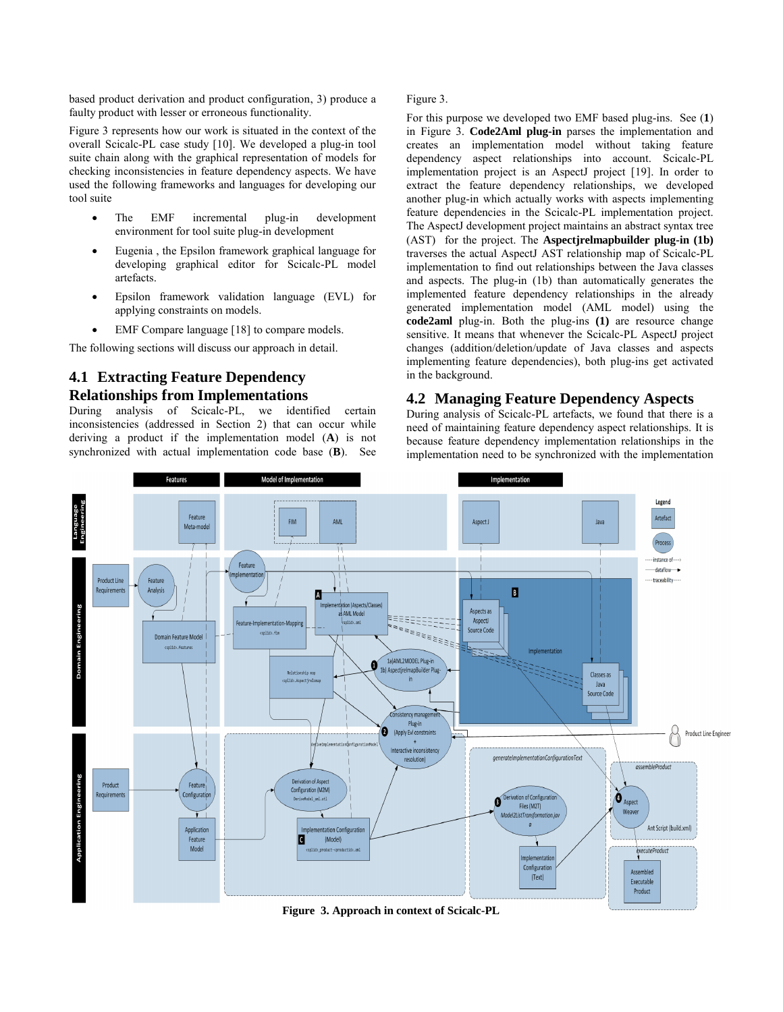based product derivation and product configuration, 3) produce a faulty product with lesser or erroneous functionality.

Figure 3 represents how our work is situated in the context of the overall Scicalc-PL case study [10]. We developed a plug-in tool suite chain along with the graphical representation of models for checking inconsistencies in feature dependency aspects. We have used the following frameworks and languages for developing our tool suite

- The EMF incremental plug-in development environment for tool suite plug-in development
- Eugenia , the Epsilon framework graphical language for developing graphical editor for Scicalc-PL model artefacts.
- Epsilon framework validation language (EVL) for applying constraints on models.
- EMF Compare language [18] to compare models.

The following sections will discuss our approach in detail.

## **4.1 Extracting Feature Dependency Relationships from Implementations**

During analysis of Scicalc-PL, we identified certain inconsistencies (addressed in Section 2) that can occur while deriving a product if the implementation model (**A**) is not synchronized with actual implementation code base (**B**). See

Figure 3.

For this purpose we developed two EMF based plug-ins. See (**1**) in Figure 3. **Code2Aml plug-in** parses the implementation and creates an implementation model without taking feature dependency aspect relationships into account. Scicalc-PL implementation project is an AspectJ project [19]. In order to extract the feature dependency relationships, we developed another plug-in which actually works with aspects implementing feature dependencies in the Scicalc-PL implementation project. The AspectJ development project maintains an abstract syntax tree (AST) for the project. The **Aspectjrelmapbuilder plug-in (1b)** traverses the actual AspectJ AST relationship map of Scicalc-PL implementation to find out relationships between the Java classes and aspects. The plug-in (1b) than automatically generates the implemented feature dependency relationships in the already generated implementation model (AML model) using the **code2aml** plug-in. Both the plug-ins **(1)** are resource change sensitive. It means that whenever the Scicalc-PL AspectJ project changes (addition/deletion/update of Java classes and aspects implementing feature dependencies), both plug-ins get activated in the background.

#### **4.2 Managing Feature Dependency Aspects**

During analysis of Scicalc-PL artefacts, we found that there is a need of maintaining feature dependency aspect relationships. It is because feature dependency implementation relationships in the implementation need to be synchronized with the implementation



**Figure 3. Approach in context of Scicalc-PL**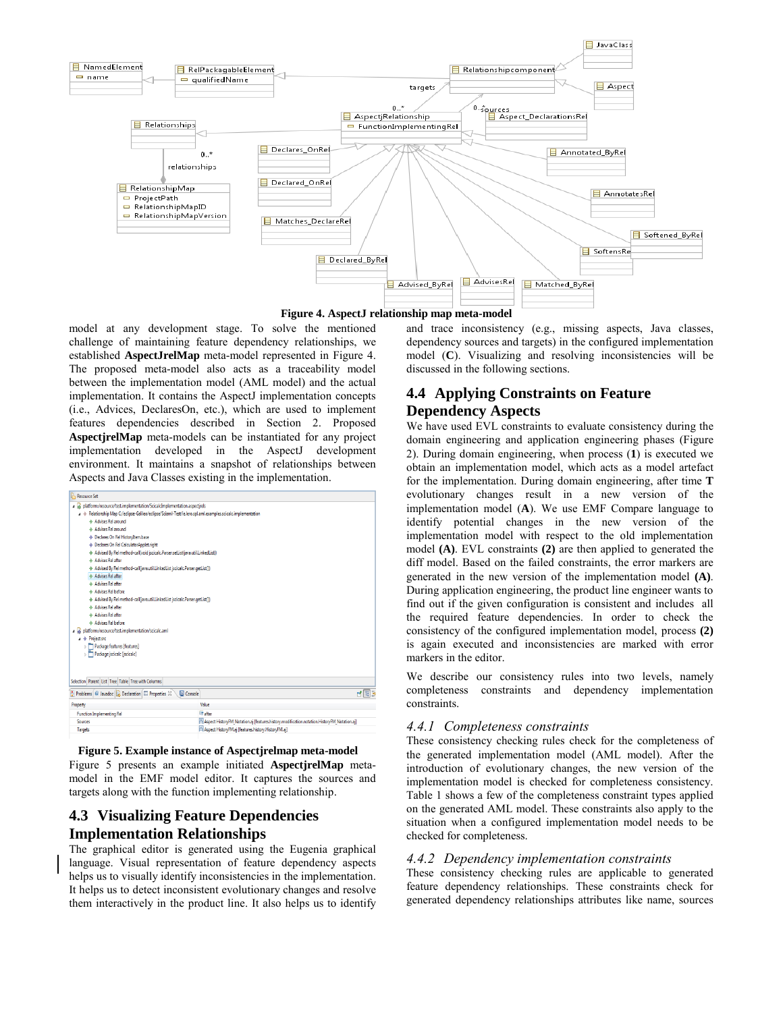

**Figure 4. AspectJ relationship map meta-model**

model at any development stage. To solve the mentioned challenge of maintaining feature dependency relationships, we established **AspectJrelMap** meta-model represented in Figure 4. The proposed meta-model also acts as a traceability model between the implementation model (AML model) and the actual implementation. It contains the AspectJ implementation concepts (i.e., Advices, DeclaresOn, etc.), which are used to implement features dependencies described in Section 2. Proposed **AspectjrelMap** meta-models can be instantiated for any project implementation developed in the AspectJ development environment. It maintains a snapshot of relationships between Aspects and Java Classes existing in the implementation.

| <b>Resource Set</b>                                                                                         |                                                                                             |  |  |  |  |  |  |
|-------------------------------------------------------------------------------------------------------------|---------------------------------------------------------------------------------------------|--|--|--|--|--|--|
| a a platform:/resource/test.implementation/ScicalcImplementation.aspectirels                                |                                                                                             |  |  |  |  |  |  |
| A + Relationship Map C:/eclipse-Galileo/eclipse/Sciaml-Test/ie.lero.spl.aml.examples.scicalc.implementation |                                                                                             |  |  |  |  |  |  |
| & Advises Rel around                                                                                        |                                                                                             |  |  |  |  |  |  |
| & Advises Rel around                                                                                        |                                                                                             |  |  |  |  |  |  |
| ♦ Declares On Rel Historvitem.base                                                                          |                                                                                             |  |  |  |  |  |  |
| Declares On Rel CalculatorApplet.right                                                                      |                                                                                             |  |  |  |  |  |  |
| Advised By Rel method-call(void jscicalc.Parser.setList(java.util.LinkedList))                              |                                                                                             |  |  |  |  |  |  |
| A Advises Rel after                                                                                         |                                                                                             |  |  |  |  |  |  |
| Advised By Rel method-call(java.util.LinkedList jscicalc.Parser.getList())                                  |                                                                                             |  |  |  |  |  |  |
| & Advises Rel after                                                                                         |                                                                                             |  |  |  |  |  |  |
| & Advises Rel after                                                                                         |                                                                                             |  |  |  |  |  |  |
| A Advises Rel before                                                                                        |                                                                                             |  |  |  |  |  |  |
| Advised By Rel method-call(java.util.LinkedList jscicalc.Parser.qetList())                                  |                                                                                             |  |  |  |  |  |  |
| & Advises Rel after                                                                                         |                                                                                             |  |  |  |  |  |  |
| A Advises Rel after                                                                                         |                                                                                             |  |  |  |  |  |  |
| & Advises Rel before                                                                                        |                                                                                             |  |  |  |  |  |  |
| platform:/resource/test.implementation/scicalc.aml                                                          |                                                                                             |  |  |  |  |  |  |
| a → Project src                                                                                             |                                                                                             |  |  |  |  |  |  |
| Package features [features]                                                                                 |                                                                                             |  |  |  |  |  |  |
| Package iscicalc [iscicalc]                                                                                 |                                                                                             |  |  |  |  |  |  |
|                                                                                                             |                                                                                             |  |  |  |  |  |  |
|                                                                                                             |                                                                                             |  |  |  |  |  |  |
| Selection Parent List Tree Table Tree with Columns                                                          |                                                                                             |  |  |  |  |  |  |
| Problems   C Javadoc   Declaration   Properties &<br>Console                                                | 世間                                                                                          |  |  |  |  |  |  |
| Property                                                                                                    | Value                                                                                       |  |  |  |  |  |  |
| <b>Function Implementing Rel</b>                                                                            | <b>Ellisther</b>                                                                            |  |  |  |  |  |  |
| Sources                                                                                                     | Aspect HistoryFM_Notation.aj [features.history.modification.notation.HistoryFM_Notation.aj] |  |  |  |  |  |  |
| Targets                                                                                                     | Aspect HistoryFM.aj [features.history.HistoryFM.aj]                                         |  |  |  |  |  |  |
|                                                                                                             |                                                                                             |  |  |  |  |  |  |

Figure 5 presents an example initiated **AspectjrelMap** metamodel in the EMF model editor. It captures the sources and targets along with the function implementing relationship. **Figure 5. Example instance of Aspectjrelmap meta-model**

# **4.3 Visualizing Feature Dependencies Implementation Relationships**

The graphical editor is generated using the Eugenia graphical language. Visual representation of feature dependency aspects helps us to visually identify inconsistencies in the implementation. It helps us to detect inconsistent evolutionary changes and resolve them interactively in the product line. It also helps us to identify

and trace inconsistency (e.g., missing aspects, Java classes, dependency sources and targets) in the configured implementation model (**C**). Visualizing and resolving inconsistencies will be discussed in the following sections.

# **4.4 Applying Constraints on Feature Dependency Aspects**

We have used EVL constraints to evaluate consistency during the domain engineering and application engineering phases (Figure 2). During domain engineering, when process (**1**) is executed we obtain an implementation model, which acts as a model artefact for the implementation. During domain engineering, after time **T**  evolutionary changes result in a new version of the implementation model (**A**). We use EMF Compare language to identify potential changes in the new version of the implementation model with respect to the old implementation model **(A)**. EVL constraints **(2)** are then applied to generated the diff model. Based on the failed constraints, the error markers are generated in the new version of the implementation model **(A)**. During application engineering, the product line engineer wants to find out if the given configuration is consistent and includes all the required feature dependencies. In order to check the consistency of the configured implementation model, process **(2)** is again executed and inconsistencies are marked with error markers in the editor.

We describe our consistency rules into two levels, namely completeness constraints and dependency implementation constraints.

#### *4.4.1 Completeness constraints*

These consistency checking rules check for the completeness of the generated implementation model (AML model). After the introduction of evolutionary changes, the new version of the implementation model is checked for completeness consistency. Table 1 shows a few of the completeness constraint types applied on the generated AML model. These constraints also apply to the situation when a configured implementation model needs to be checked for completeness.

## *4.4.2 Dependency implementation constraints*

These consistency checking rules are applicable to generated feature dependency relationships. These constraints check for generated dependency relationships attributes like name, sources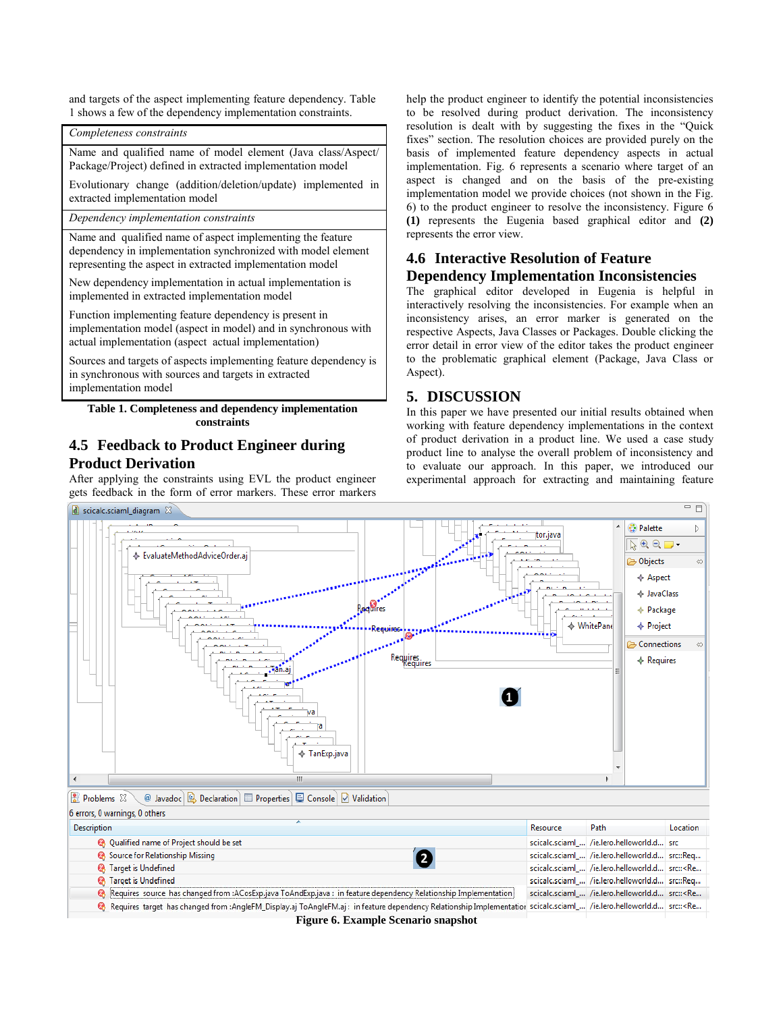and targets of the aspect implementing feature dependency. Table 1 shows a few of the dependency implementation constraints.

*Completeness constraints*

Name and qualified name of model element (Java class/Aspect/ Package/Project) defined in extracted implementation model

Evolutionary change (addition/deletion/update) implemented in extracted implementation model

*Dependency implementation constraints*

Name and qualified name of aspect implementing the feature dependency in implementation synchronized with model element representing the aspect in extracted implementation model

New dependency implementation in actual implementation is implemented in extracted implementation model

Function implementing feature dependency is present in implementation model (aspect in model) and in synchronous with actual implementation (aspect actual implementation)

Sources and targets of aspects implementing feature dependency is in synchronous with sources and targets in extracted implementation model

**Table 1. Completeness and dependency implementation constraints** 

## **4.5 Feedback to Product Engineer during Product Derivation**

After applying the constraints using EVL the product engineer gets feedback in the form of error markers. These error markers

help the product engineer to identify the potential inconsistencies to be resolved during product derivation. The inconsistency resolution is dealt with by suggesting the fixes in the "Quick fixes" section. The resolution choices are provided purely on the basis of implemented feature dependency aspects in actual implementation. Fig. 6 represents a scenario where target of an aspect is changed and on the basis of the pre-existing implementation model we provide choices (not shown in the Fig. 6) to the product engineer to resolve the inconsistency. Figure 6 **(1)** represents the Eugenia based graphical editor and **(2)** represents the error view.

## **4.6 Interactive Resolution of Feature Dependency Implementation Inconsistencies**

The graphical editor developed in Eugenia is helpful in interactively resolving the inconsistencies. For example when an inconsistency arises, an error marker is generated on the respective Aspects, Java Classes or Packages. Double clicking the error detail in error view of the editor takes the product engineer to the problematic graphical element (Package, Java Class or Aspect).

## **5. DISCUSSION**

In this paper we have presented our initial results obtained when working with feature dependency implementations in the context of product derivation in a product line. We used a case study product line to analyse the overall problem of inconsistency and to evaluate our approach. In this paper, we introduced our experimental approach for extracting and maintaining feature



**Figure 6. Example Scenario snapshot**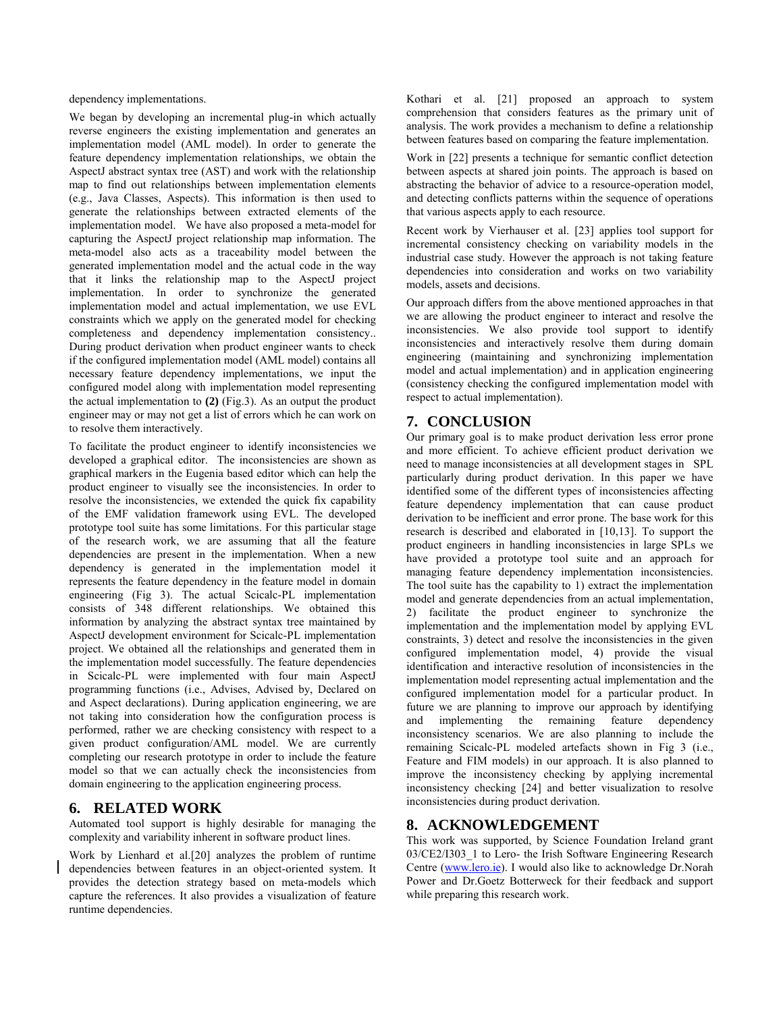dependency implementations.

We began by developing an incremental plug-in which actually reverse engineers the existing implementation and generates an implementation model (AML model). In order to generate the feature dependency implementation relationships, we obtain the AspectJ abstract syntax tree (AST) and work with the relationship map to find out relationships between implementation elements (e.g., Java Classes, Aspects). This information is then used to generate the relationships between extracted elements of the implementation model. We have also proposed a meta-model for capturing the AspectJ project relationship map information. The meta-model also acts as a traceability model between the generated implementation model and the actual code in the way that it links the relationship map to the AspectJ project implementation. In order to synchronize the generated implementation model and actual implementation, we use EVL constraints which we apply on the generated model for checking completeness and dependency implementation consistency.. During product derivation when product engineer wants to check if the configured implementation model (AML model) contains all necessary feature dependency implementations, we input the configured model along with implementation model representing the actual implementation to **(2)** (Fig.3). As an output the product engineer may or may not get a list of errors which he can work on to resolve them interactively.

To facilitate the product engineer to identify inconsistencies we developed a graphical editor. The inconsistencies are shown as graphical markers in the Eugenia based editor which can help the product engineer to visually see the inconsistencies. In order to resolve the inconsistencies, we extended the quick fix capability of the EMF validation framework using EVL. The developed prototype tool suite has some limitations. For this particular stage of the research work, we are assuming that all the feature dependencies are present in the implementation. When a new dependency is generated in the implementation model it represents the feature dependency in the feature model in domain engineering (Fig 3). The actual Scicalc-PL implementation consists of 348 different relationships. We obtained this information by analyzing the abstract syntax tree maintained by AspectJ development environment for Scicalc-PL implementation project. We obtained all the relationships and generated them in the implementation model successfully. The feature dependencies in Scicalc-PL were implemented with four main AspectJ programming functions (i.e., Advises, Advised by, Declared on and Aspect declarations). During application engineering, we are not taking into consideration how the configuration process is performed, rather we are checking consistency with respect to a given product configuration/AML model. We are currently completing our research prototype in order to include the feature model so that we can actually check the inconsistencies from domain engineering to the application engineering process.

### **6. RELATED WORK**

Automated tool support is highly desirable for managing the complexity and variability inherent in software product lines.

Work by Lienhard et al.[20] analyzes the problem of runtime dependencies between features in an object-oriented system. It provides the detection strategy based on meta-models which capture the references. It also provides a visualization of feature runtime dependencies.

Kothari et al. [21] proposed an approach to system comprehension that considers features as the primary unit of analysis. The work provides a mechanism to define a relationship between features based on comparing the feature implementation.

Work in [22] presents a technique for semantic conflict detection between aspects at shared join points. The approach is based on abstracting the behavior of advice to a resource-operation model, and detecting conflicts patterns within the sequence of operations that various aspects apply to each resource.

Recent work by Vierhauser et al. [23] applies tool support for incremental consistency checking on variability models in the industrial case study. However the approach is not taking feature dependencies into consideration and works on two variability models, assets and decisions.

Our approach differs from the above mentioned approaches in that we are allowing the product engineer to interact and resolve the inconsistencies. We also provide tool support to identify inconsistencies and interactively resolve them during domain engineering (maintaining and synchronizing implementation model and actual implementation) and in application engineering (consistency checking the configured implementation model with respect to actual implementation).

## **7. CONCLUSION**

Our primary goal is to make product derivation less error prone and more efficient. To achieve efficient product derivation we need to manage inconsistencies at all development stages in SPL particularly during product derivation. In this paper we have identified some of the different types of inconsistencies affecting feature dependency implementation that can cause product derivation to be inefficient and error prone. The base work for this research is described and elaborated in [10,13]. To support the product engineers in handling inconsistencies in large SPLs we have provided a prototype tool suite and an approach for managing feature dependency implementation inconsistencies. The tool suite has the capability to 1) extract the implementation model and generate dependencies from an actual implementation, 2) facilitate the product engineer to synchronize the implementation and the implementation model by applying EVL constraints, 3) detect and resolve the inconsistencies in the given configured implementation model, 4) provide the visual identification and interactive resolution of inconsistencies in the implementation model representing actual implementation and the configured implementation model for a particular product. In future we are planning to improve our approach by identifying and implementing the remaining feature dependency inconsistency scenarios. We are also planning to include the remaining Scicalc-PL modeled artefacts shown in Fig 3 (i.e., Feature and FIM models) in our approach. It is also planned to improve the inconsistency checking by applying incremental inconsistency checking [24] and better visualization to resolve inconsistencies during product derivation.

## **8. ACKNOWLEDGEMENT**

This work was supported, by Science Foundation Ireland grant 03/CE2/I303 1 to Lero- the Irish Software Engineering Research Centre [\(www.lero.ie\)](http://www.lero.ie/). I would also like to acknowledge Dr.Norah Power and Dr.Goetz Botterweck for their feedback and support while preparing this research work.